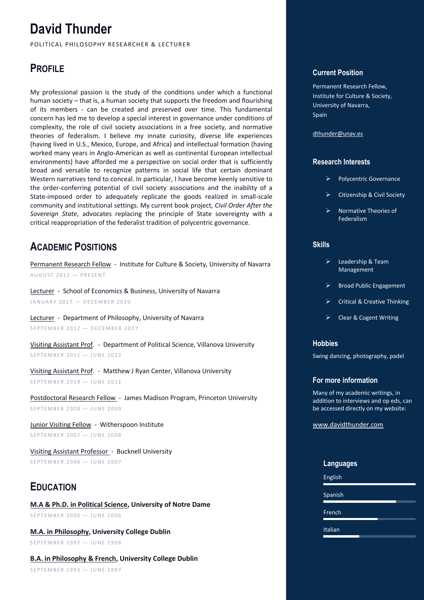# **David Thunder**

POLITICAL PHILOSOPHY RESEARCHER & LECTURER

# **PROFILE**

My professional passion is the study of the conditions under which a functional human society – that is, a human society that supports the freedom and flourishing of its members - can be created and preserved over time. This fundamental concern has led me to develop a special interest in governance under conditions of complexity, the role of civil society associations in a free society, and normative theories of federalism. I believe my innate curiosity, diverse life experiences (having lived in U.S., Mexico, Europe, and Africa) and intellectual formation (having worked many years in Anglo-American as well as continental European intellectual environments) have afforded me a perspective on social order that is sufficiently broad and versatile to recognize patterns in social life that certain dominant Western narratives tend to conceal. In particular, I have become keenly sensitive to the order-conferring potential of civil society associations and the inability of a State-imposed order to adequately replicate the goods realized in small-scale community and institutional settings. My current book project, *Civil Order After the Sovereign State*, advocates replacing the principle of State sovereignty with a critical reappropriation of the federalist tradition of polycentric governance.

# **ACADEMIC POSITIONS**

Permanent Research Fellow - Institute for Culture & Society, University of Navarra  $AUGUST 2012 - PRESENT$ 

Lecturer - School of Economics & Business, University of Navarra JANUARY 2017 - DECEMBER 2020

Lecturer - Department of Philosophy, University of Navarra SEPTEMBER 2012 - DECEMBER 2017

Visiting Assistant Prof. - Department of Political Science, Villanova University SEPTEMBER 2011 — JUNE 2012

Visiting Assistant Prof. - Matthew J Ryan Center, Villanova University SEPTEMBER 2019 — JUNE 2011

Postdoctoral Research Fellow - James Madison Program, Princeton University SEPTEMBER 2008 — JUNE 2009

Junior Visiting Fellow - Witherspoon Institute SEPTEMBER 2007 — JUNE 2008

Visiting Assistant Professor - Bucknell University SEPTEMBER 2006 — JUNE 2007

# **EDUCATION**

**M.A & Ph.D. in Political Science, University of Notre Dame** SEPTEMBER 2000 - JUNE 2006

**M.A. in Philosophy, University College Dublin** SEPTEMBER 1997 — JUNE 1998

**B.A. in Philosophy & French, University College Dublin** SEPTEMBER 1993 — JUNE 1997

### **Current Position**

Permanent Research Fellow, Institute for Culture & Society, University of Navarra, Spain

dthunder@unav.es

### **Research Interests**

- Ø Polycentric Governance
- Ø Citizenship & Civil Society
- $\triangleright$  Normative Theories of Federalism

### **Skills**

- Ø Leadership & Team Management
- Ø Broad Public Engagement
- Ø Critical & Creative Thinking
- Ø Clear & Cogent Writing

### **Hobbies**

Swing dancing, photography, padel

### **For more information**

Many of my academic writings, in addition to interviews and op eds, can be accessed directly on my website:

www.davidthunder.com

### **Languages**

English

Spanish

French

Italian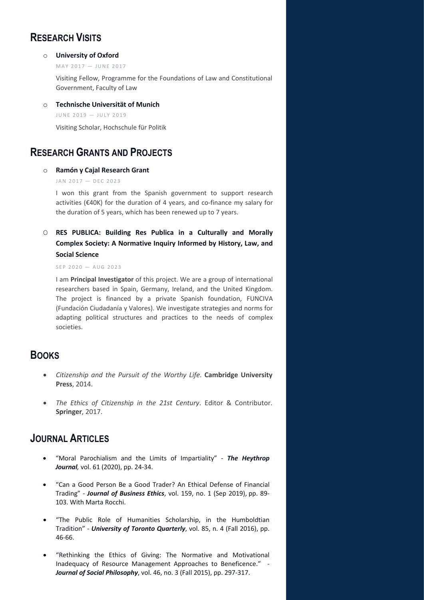# **RESEARCH VISITS**

#### o **University of Oxford**

 $MAY$  2017  $-$  JUNE 2017

Visiting Fellow, Programme for the Foundations of Law and Constitutional Government, Faculty of Law

o **Technische Universität of Munich**

```
JUINE 2019 - JUIY 2019
```
Visiting Scholar, Hochschule für Politik

### **RESEARCH GRANTS AND PROJECTS**

### o **Ramón y Cajal Research Grant**

#### $JAN$  2017 - DEC 2023

I won this grant from the Spanish government to support research activities (€40K) for the duration of 4 years, and co-finance my salary for the duration of 5 years, which has been renewed up to 7 years.

O **RES PUBLICA: Building Res Publica in a Culturally and Morally Complex Society: A Normative Inquiry Informed by History, Law, and Social Science**

#### $SEP 2020 - AUG 2023$

I am **Principal Investigator** of this project. We are a group of international researchers based in Spain, Germany, Ireland, and the United Kingdom. The project is financed by a private Spanish foundation, FUNCIVA (Fundación Ciudadanía y Valores). We investigate strategies and norms for adapting political structures and practices to the needs of complex societies.

### **BOOKS**

- *Citizenship and the Pursuit of the Worthy Life*. **Cambridge University Press**, 2014.
- *The Ethics of Citizenship in the 21st Century*. Editor & Contributor. **Springer**, 2017.

### **JOURNAL ARTICLES**

- "Moral Parochialism and the Limits of Impartiality" *The Heythrop Journal,* vol. 61 (2020), pp. 24-34.
- "Can a Good Person Be a Good Trader? An Ethical Defense of Financial Trading" - *Journal of Business Ethics*, vol. 159, no. 1 (Sep 2019), pp. 89- 103. With Marta Rocchi.
- "The Public Role of Humanities Scholarship, in the Humboldtian Tradition" - *University of Toronto Quarterly*, vol. 85, n. 4 (Fall 2016), pp. 46-66.
- "Rethinking the Ethics of Giving: The Normative and Motivational Inadequacy of Resource Management Approaches to Beneficence." - *Journal of Social Philosophy*, vol. 46, no. 3 (Fall 2015), pp. 297-317.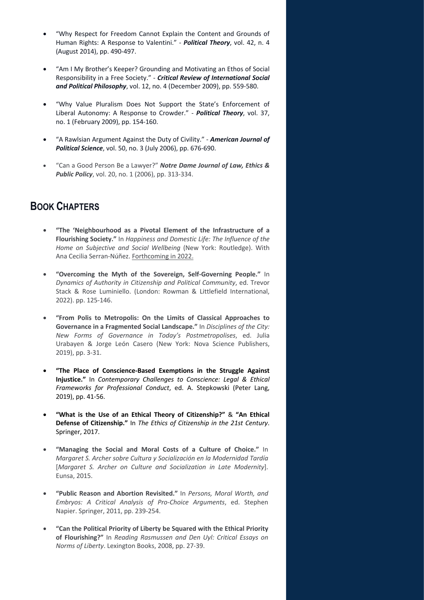- "Why Respect for Freedom Cannot Explain the Content and Grounds of Human Rights: A Response to Valentini." - *Political Theory*, vol. 42, n. 4 (August 2014), pp. 490-497.
- "Am I My Brother's Keeper? Grounding and Motivating an Ethos of Social Responsibility in a Free Society." - *Critical Review of International Social and Political Philosophy*, vol. 12, no. 4 (December 2009), pp. 559-580.
- "Why Value Pluralism Does Not Support the State's Enforcement of Liberal Autonomy: A Response to Crowder." - *Political Theory*, vol. 37, no. 1 (February 2009), pp. 154-160.
- "A Rawlsian Argument Against the Duty of Civility." *American Journal of Political Science*, vol. 50, no. 3 (July 2006), pp. 676-690.
- "Can a Good Person Be a Lawyer?" *Notre Dame Journal of Law, Ethics & Public Policy*, vol. 20, no. 1 (2006), pp. 313-334.

# **BOOK CHAPTERS**

- **"The 'Neighbourhood as a Pivotal Element of the Infrastructure of a Flourishing Society."** In *Happiness and Domestic Life: The Influence of the Home on Subjective and Social Wellbeing* (New York: Routledge). With Ana Cecilia Serran-Núñez. Forthcoming in 2022.
- **"Overcoming the Myth of the Sovereign, Self-Governing People."** In *Dynamics of Authority in Citizenship and Political Community*, ed. Trevor Stack & Rose Luminiello. (London: Rowman & Littlefield International, 2022). pp. 125-146.
- **"From Polis to Metropolis: On the Limits of Classical Approaches to Governance in a Fragmented Social Landscape."** In *Disciplines of the City: New Forms of Governance in Today's Postmetropolises*, ed. Julia Urabayen & Jorge León Casero (New York: Nova Science Publishers, 2019), pp. 3-31.
- **"The Place of Conscience-Based Exemptions in the Struggle Against Injustice."** In *Contemporary Challenges to Conscience: Legal & Ethical Frameworks for Professional Conduct*, ed. A. Stepkowski (Peter Lang, 2019), pp. 41-56.
- **"What is the Use of an Ethical Theory of Citizenship?"** & **"An Ethical Defense of Citizenship."** In *The Ethics of Citizenship in the 21st Century*. Springer, 2017.
- **"Managing the Social and Moral Costs of a Culture of Choice."** In *Margaret S. Archer sobre Cultura y Socialización en la Modernidad Tardía* [*Margaret S. Archer on Culture and Socialization in Late Modernity*]. Eunsa, 2015.
- **"Public Reason and Abortion Revisited."** In *Persons, Moral Worth, and Embryos: A Critical Analysis of Pro-Choice Arguments*, ed. Stephen Napier. Springer, 2011, pp. 239-254.
- **"Can the Political Priority of Liberty be Squared with the Ethical Priority of Flourishing?"** In *Reading Rasmussen and Den Uyl: Critical Essays on Norms of Liberty*. Lexington Books, 2008, pp. 27-39.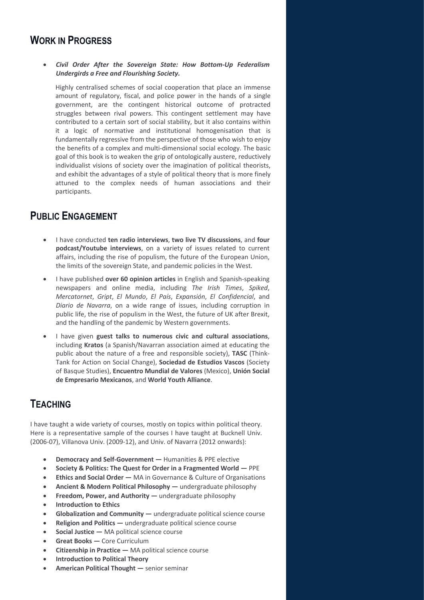# **WORK IN PROGRESS**

• *Civil Order After the Sovereign State: How Bottom-Up Federalism Undergirds a Free and Flourishing Society.* 

Highly centralised schemes of social cooperation that place an immense amount of regulatory, fiscal, and police power in the hands of a single government, are the contingent historical outcome of protracted struggles between rival powers. This contingent settlement may have contributed to a certain sort of social stability, but it also contains within it a logic of normative and institutional homogenisation that is fundamentally regressive from the perspective of those who wish to enjoy the benefits of a complex and multi-dimensional social ecology. The basic goal of this book is to weaken the grip of ontologically austere, reductively individualist visions of society over the imagination of political theorists, and exhibit the advantages of a style of political theory that is more finely attuned to the complex needs of human associations and their participants.

# **PUBLIC ENGAGEMENT**

- I have conducted **ten radio interviews**, **two live TV discussions**, and **four podcast/Youtube interviews**, on a variety of issues related to current affairs, including the rise of populism, the future of the European Union, the limits of the sovereign State, and pandemic policies in the West.
- I have published **over 60 opinion articles** in English and Spanish-speaking newspapers and online media, including *The Irish Times*, *Spiked*, *Mercatornet*, *Gript*, *El Mundo*, *El País*, *Expansión*, *El Confidencial*, and *Diario de Navarra*, on a wide range of issues, including corruption in public life, the rise of populism in the West, the future of UK after Brexit, and the handling of the pandemic by Western governments.
- I have given **guest talks to numerous civic and cultural associations**, including **Kratos** (a Spanish/Navarran association aimed at educating the public about the nature of a free and responsible society), **TASC** (Think-Tank for Action on Social Change), **Sociedad de Estudios Vascos** (Society of Basque Studies), **Encuentro Mundial de Valores** (Mexico), **Unión Social de Empresario Mexicanos**, and **World Youth Alliance**.

# **TEACHING**

I have taught a wide variety of courses, mostly on topics within political theory. Here is a representative sample of the courses I have taught at Bucknell Univ. (2006-07), Villanova Univ. (2009-12), and Univ. of Navarra (2012 onwards):

- **Democracy and Self-Government —** Humanities & PPE elective
- **Society & Politics: The Quest for Order in a Fragmented World —** PPE
- **Ethics and Social Order —** MA in Governance & Culture of Organisations
- **Ancient & Modern Political Philosophy —** undergraduate philosophy
- **Freedom, Power, and Authority —** undergraduate philosophy
- **Introduction to Ethics**
- **Globalization and Community —** undergraduate political science course
- **Religion and Politics —** undergraduate political science course
- **Social Justice —** MA political science course
- **Great Books —** Core Curriculum
- **Citizenship in Practice —** MA political science course
- **Introduction to Political Theory**
- **American Political Thought —** senior seminar